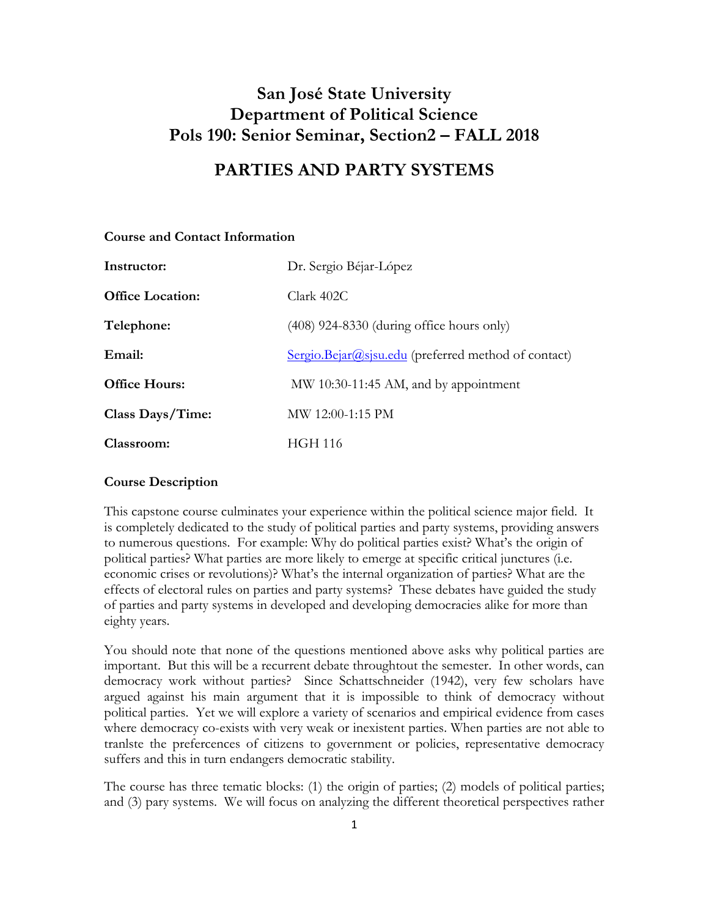# **San José State University Department of Political Science Pols 190: Senior Seminar, Section2 – FALL 2018**

# **PARTIES AND PARTY SYSTEMS**

| Instructor:             | Dr. Sergio Béjar-López                                |
|-------------------------|-------------------------------------------------------|
| <b>Office Location:</b> | Clark 402C                                            |
| Telephone:              | $(408)$ 924-8330 (during office hours only)           |
| Email:                  | $Sergio.Bejar@sisu.edu$ (preferred method of contact) |
| <b>Office Hours:</b>    | MW 10:30-11:45 AM, and by appointment                 |
| Class Days/Time:        | $MW$ 12:00-1:15 PM                                    |
| Classroom:              | HGH 116                                               |

## **Course and Contact Information**

## **Course Description**

This capstone course culminates your experience within the political science major field. It is completely dedicated to the study of political parties and party systems, providing answers to numerous questions. For example: Why do political parties exist? What's the origin of political parties? What parties are more likely to emerge at specific critical junctures (i.e. economic crises or revolutions)? What's the internal organization of parties? What are the effects of electoral rules on parties and party systems? These debates have guided the study of parties and party systems in developed and developing democracies alike for more than eighty years.

You should note that none of the questions mentioned above asks why political parties are important. But this will be a recurrent debate throughtout the semester. In other words, can democracy work without parties? Since Schattschneider (1942), very few scholars have argued against his main argument that it is impossible to think of democracy without political parties. Yet we will explore a variety of scenarios and empirical evidence from cases where democracy co-exists with very weak or inexistent parties. When parties are not able to tranlste the prefercences of citizens to government or policies, representative democracy suffers and this in turn endangers democratic stability.

The course has three tematic blocks: (1) the origin of parties; (2) models of political parties; and (3) pary systems. We will focus on analyzing the different theoretical perspectives rather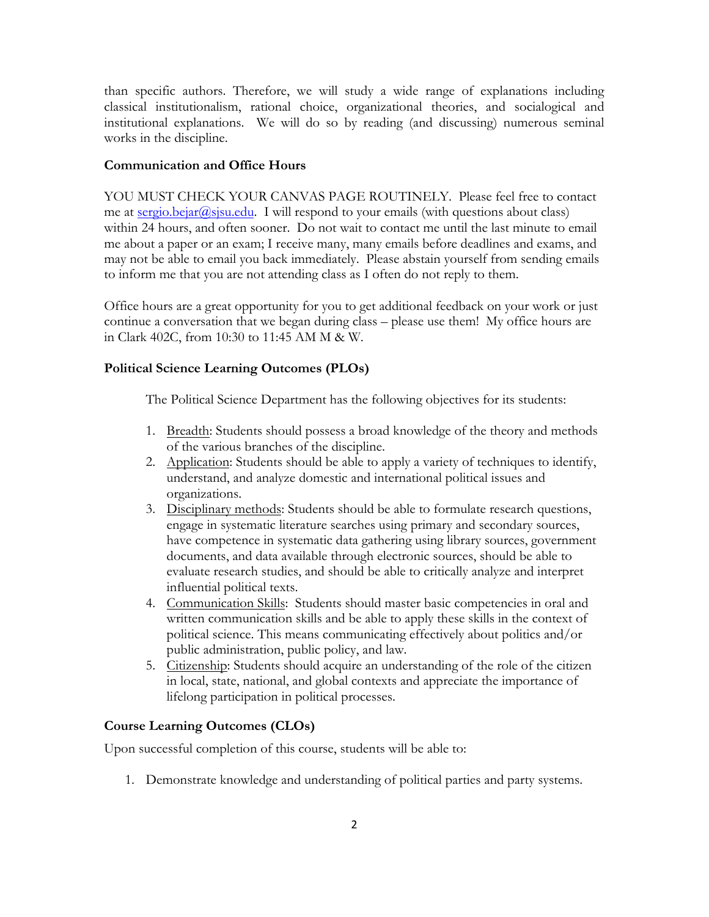than specific authors. Therefore, we will study a wide range of explanations including classical institutionalism, rational choice, organizational theories, and socialogical and institutional explanations. We will do so by reading (and discussing) numerous seminal works in the discipline.

## **Communication and Office Hours**

YOU MUST CHECK YOUR CANVAS PAGE ROUTINELY. Please feel free to contact me at sergio.bejar@sjsu.edu. I will respond to your emails (with questions about class) within 24 hours, and often sooner. Do not wait to contact me until the last minute to email me about a paper or an exam; I receive many, many emails before deadlines and exams, and may not be able to email you back immediately. Please abstain yourself from sending emails to inform me that you are not attending class as I often do not reply to them.

Office hours are a great opportunity for you to get additional feedback on your work or just continue a conversation that we began during class – please use them! My office hours are in Clark 402C, from 10:30 to 11:45 AM M & W.

### **Political Science Learning Outcomes (PLOs)**

The Political Science Department has the following objectives for its students:

- 1. Breadth: Students should possess a broad knowledge of the theory and methods of the various branches of the discipline.
- 2. Application: Students should be able to apply a variety of techniques to identify, understand, and analyze domestic and international political issues and organizations.
- 3. Disciplinary methods: Students should be able to formulate research questions, engage in systematic literature searches using primary and secondary sources, have competence in systematic data gathering using library sources, government documents, and data available through electronic sources, should be able to evaluate research studies, and should be able to critically analyze and interpret influential political texts.
- 4. Communication Skills: Students should master basic competencies in oral and written communication skills and be able to apply these skills in the context of political science. This means communicating effectively about politics and/or public administration, public policy, and law.
- 5. Citizenship: Students should acquire an understanding of the role of the citizen in local, state, national, and global contexts and appreciate the importance of lifelong participation in political processes.

# **Course Learning Outcomes (CLOs)**

Upon successful completion of this course, students will be able to:

1. Demonstrate knowledge and understanding of political parties and party systems.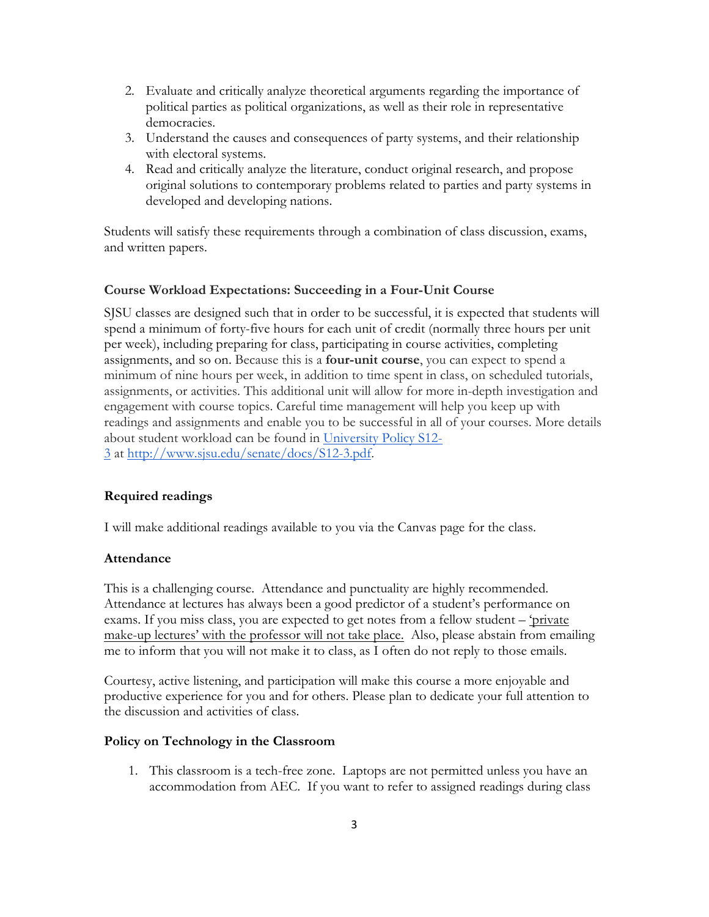- 2. Evaluate and critically analyze theoretical arguments regarding the importance of political parties as political organizations, as well as their role in representative democracies.
- 3. Understand the causes and consequences of party systems, and their relationship with electoral systems.
- 4. Read and critically analyze the literature, conduct original research, and propose original solutions to contemporary problems related to parties and party systems in developed and developing nations.

Students will satisfy these requirements through a combination of class discussion, exams, and written papers.

# **Course Workload Expectations: Succeeding in a Four-Unit Course**

SJSU classes are designed such that in order to be successful, it is expected that students will spend a minimum of forty-five hours for each unit of credit (normally three hours per unit per week), including preparing for class, participating in course activities, completing assignments, and so on. Because this is a **four-unit course**, you can expect to spend a minimum of nine hours per week, in addition to time spent in class, on scheduled tutorials, assignments, or activities. This additional unit will allow for more in-depth investigation and engagement with course topics. Careful time management will help you keep up with readings and assignments and enable you to be successful in all of your courses. More details about student workload can be found in University Policy S12- 3 at http://www.sjsu.edu/senate/docs/S12-3.pdf.

# **Required readings**

I will make additional readings available to you via the Canvas page for the class.

## **Attendance**

This is a challenging course. Attendance and punctuality are highly recommended. Attendance at lectures has always been a good predictor of a student's performance on exams. If you miss class, you are expected to get notes from a fellow student – 'private make-up lectures' with the professor will not take place. Also, please abstain from emailing me to inform that you will not make it to class, as I often do not reply to those emails.

Courtesy, active listening, and participation will make this course a more enjoyable and productive experience for you and for others. Please plan to dedicate your full attention to the discussion and activities of class.

## **Policy on Technology in the Classroom**

1. This classroom is a tech-free zone. Laptops are not permitted unless you have an accommodation from AEC. If you want to refer to assigned readings during class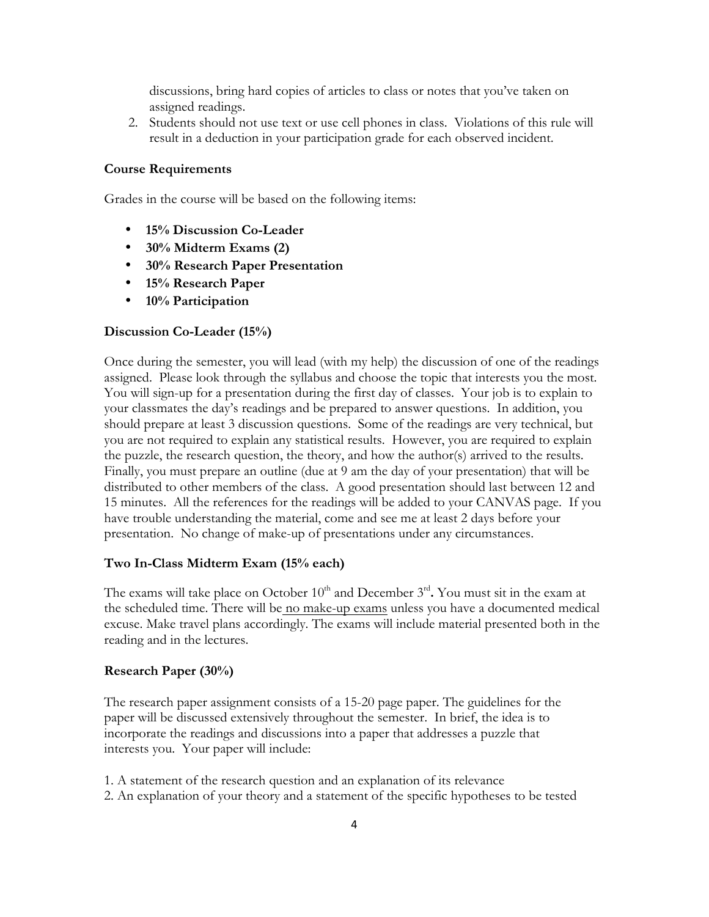discussions, bring hard copies of articles to class or notes that you've taken on assigned readings.

2. Students should not use text or use cell phones in class. Violations of this rule will result in a deduction in your participation grade for each observed incident.

#### **Course Requirements**

Grades in the course will be based on the following items:

- **15% Discussion Co-Leader**
- **30% Midterm Exams (2)**
- **30% Research Paper Presentation**
- **15% Research Paper**
- **10% Participation**

#### **Discussion Co-Leader (15%)**

Once during the semester, you will lead (with my help) the discussion of one of the readings assigned. Please look through the syllabus and choose the topic that interests you the most. You will sign-up for a presentation during the first day of classes. Your job is to explain to your classmates the day's readings and be prepared to answer questions. In addition, you should prepare at least 3 discussion questions. Some of the readings are very technical, but you are not required to explain any statistical results. However, you are required to explain the puzzle, the research question, the theory, and how the author(s) arrived to the results. Finally, you must prepare an outline (due at 9 am the day of your presentation) that will be distributed to other members of the class. A good presentation should last between 12 and 15 minutes. All the references for the readings will be added to your CANVAS page. If you have trouble understanding the material, come and see me at least 2 days before your presentation. No change of make-up of presentations under any circumstances.

#### **Two In-Class Midterm Exam (15% each)**

The exams will take place on October  $10<sup>th</sup>$  and December  $3<sup>rd</sup>$ . You must sit in the exam at the scheduled time. There will be no make-up exams unless you have a documented medical excuse. Make travel plans accordingly. The exams will include material presented both in the reading and in the lectures.

#### **Research Paper (30%)**

The research paper assignment consists of a 15-20 page paper. The guidelines for the paper will be discussed extensively throughout the semester. In brief, the idea is to incorporate the readings and discussions into a paper that addresses a puzzle that interests you. Your paper will include:

1. A statement of the research question and an explanation of its relevance 2. An explanation of your theory and a statement of the specific hypotheses to be tested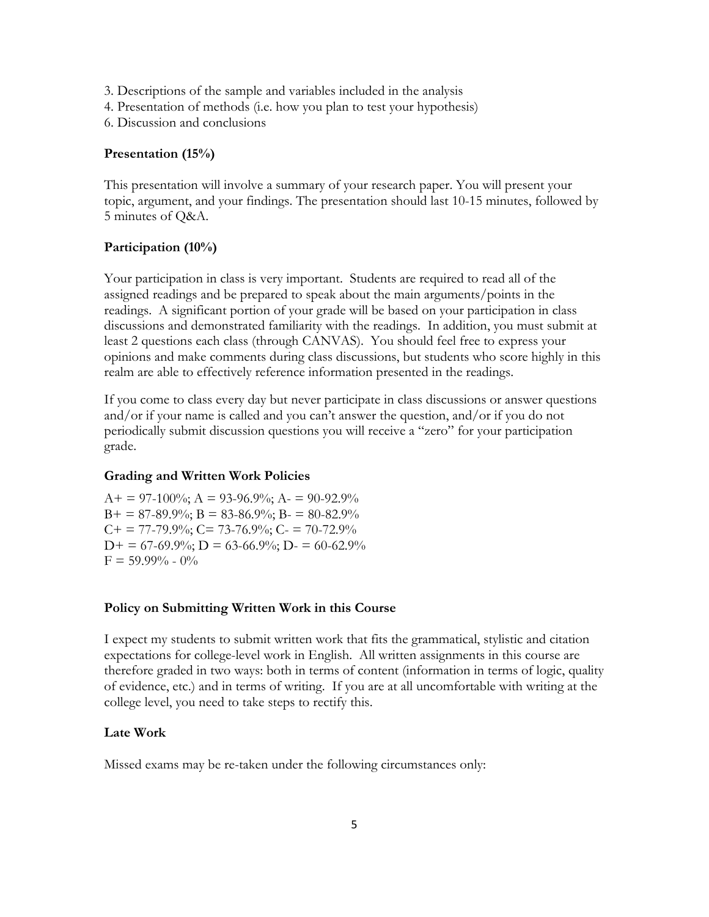- 3. Descriptions of the sample and variables included in the analysis
- 4. Presentation of methods (i.e. how you plan to test your hypothesis)
- 6. Discussion and conclusions

#### **Presentation (15%)**

This presentation will involve a summary of your research paper. You will present your topic, argument, and your findings. The presentation should last 10-15 minutes, followed by 5 minutes of Q&A.

### **Participation (10%)**

Your participation in class is very important. Students are required to read all of the assigned readings and be prepared to speak about the main arguments/points in the readings. A significant portion of your grade will be based on your participation in class discussions and demonstrated familiarity with the readings. In addition, you must submit at least 2 questions each class (through CANVAS). You should feel free to express your opinions and make comments during class discussions, but students who score highly in this realm are able to effectively reference information presented in the readings.

If you come to class every day but never participate in class discussions or answer questions and/or if your name is called and you can't answer the question, and/or if you do not periodically submit discussion questions you will receive a "zero" for your participation grade.

#### **Grading and Written Work Policies**

 $A+= 97-100\%$ ;  $A = 93-96.9\%$ ;  $A = 90-92.9\%$  $B+ = 87-89.9\%$ ;  $B = 83-86.9\%$ ;  $B = 80-82.9\%$  $C_{+}$  = 77-79.9%;  $C_{-}$  73-76.9%;  $C_{-}$  = 70-72.9%  $D+ = 67-69.9\%; D = 63-66.9\%; D = 60-62.9\%$  $F = 59.99\% - 0\%$ 

#### **Policy on Submitting Written Work in this Course**

I expect my students to submit written work that fits the grammatical, stylistic and citation expectations for college-level work in English. All written assignments in this course are therefore graded in two ways: both in terms of content (information in terms of logic, quality of evidence, etc.) and in terms of writing. If you are at all uncomfortable with writing at the college level, you need to take steps to rectify this.

### **Late Work**

Missed exams may be re-taken under the following circumstances only: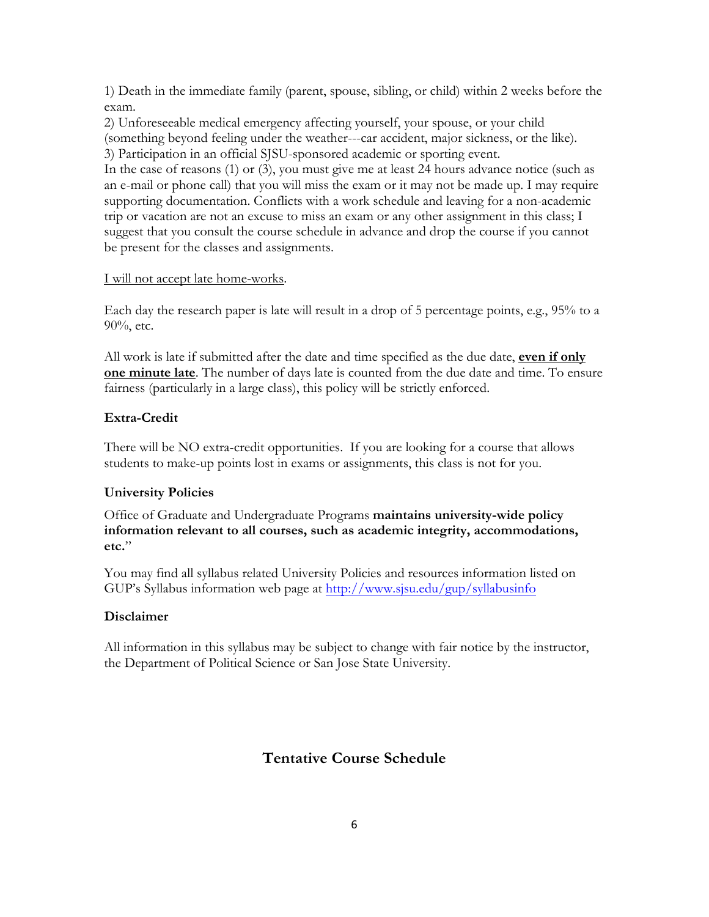1) Death in the immediate family (parent, spouse, sibling, or child) within 2 weeks before the exam.

2) Unforeseeable medical emergency affecting yourself, your spouse, or your child (something beyond feeling under the weather---car accident, major sickness, or the like). 3) Participation in an official SJSU-sponsored academic or sporting event.

In the case of reasons (1) or (3), you must give me at least 24 hours advance notice (such as an e-mail or phone call) that you will miss the exam or it may not be made up. I may require supporting documentation. Conflicts with a work schedule and leaving for a non-academic trip or vacation are not an excuse to miss an exam or any other assignment in this class; I suggest that you consult the course schedule in advance and drop the course if you cannot be present for the classes and assignments.

# I will not accept late home-works.

Each day the research paper is late will result in a drop of 5 percentage points, e.g., 95% to a 90%, etc.

All work is late if submitted after the date and time specified as the due date, **even if only one minute late**. The number of days late is counted from the due date and time. To ensure fairness (particularly in a large class), this policy will be strictly enforced.

# **Extra-Credit**

There will be NO extra-credit opportunities. If you are looking for a course that allows students to make-up points lost in exams or assignments, this class is not for you.

# **University Policies**

Office of Graduate and Undergraduate Programs **maintains university-wide policy information relevant to all courses, such as academic integrity, accommodations, etc.**"

You may find all syllabus related University Policies and resources information listed on GUP's Syllabus information web page at http://www.sjsu.edu/gup/syllabusinfo

# **Disclaimer**

All information in this syllabus may be subject to change with fair notice by the instructor, the Department of Political Science or San Jose State University.

# **Tentative Course Schedule**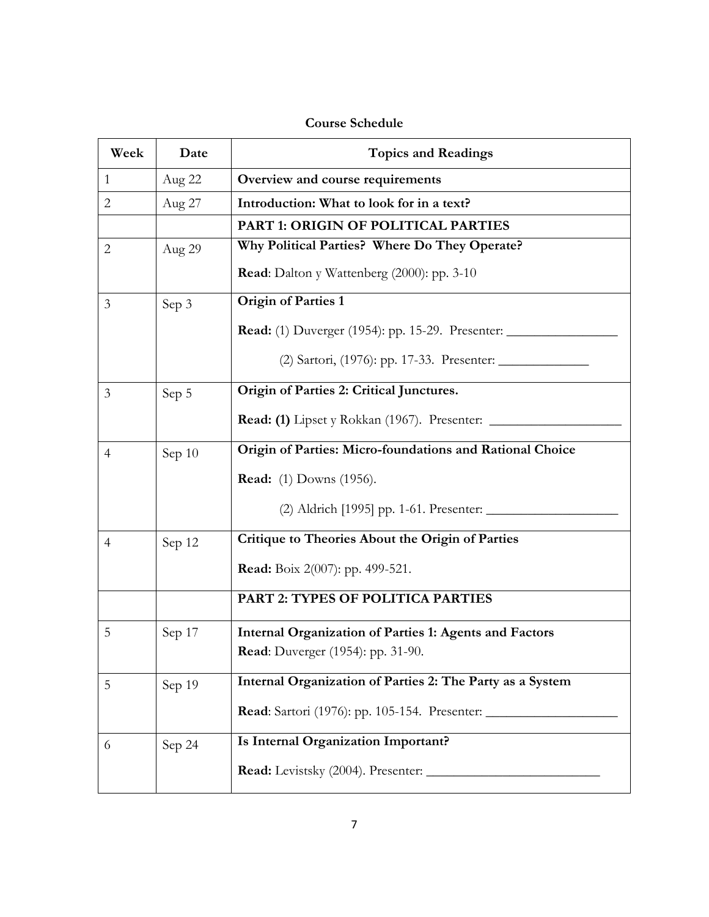# **Course Schedule**

| Week           | Date   | <b>Topics and Readings</b>                                    |
|----------------|--------|---------------------------------------------------------------|
| $\mathbf{1}$   | Aug 22 | Overview and course requirements                              |
| $\overline{2}$ | Aug 27 | Introduction: What to look for in a text?                     |
|                |        | PART 1: ORIGIN OF POLITICAL PARTIES                           |
| $\overline{2}$ | Aug 29 | Why Political Parties? Where Do They Operate?                 |
|                |        | <b>Read:</b> Dalton y Wattenberg (2000): pp. 3-10             |
| 3              | Sep 3  | <b>Origin of Parties 1</b>                                    |
|                |        |                                                               |
|                |        |                                                               |
| 3              | Sep 5  | Origin of Parties 2: Critical Junctures.                      |
|                |        | <b>Read:</b> (1) Lipset y Rokkan (1967). Presenter: ______    |
| $\overline{4}$ | Sep 10 | Origin of Parties: Micro-foundations and Rational Choice      |
|                |        | <b>Read:</b> (1) Downs (1956).                                |
|                |        |                                                               |
| $\overline{4}$ | Sep 12 | Critique to Theories About the Origin of Parties              |
|                |        | Read: Boix 2(007): pp. 499-521.                               |
|                |        | PART 2: TYPES OF POLITICA PARTIES                             |
| 5              | Sep 17 | <b>Internal Organization of Parties 1: Agents and Factors</b> |
|                |        | <b>Read:</b> Duverger (1954): pp. 31-90.                      |
| 5              | Sep 19 | Internal Organization of Parties 2: The Party as a System     |
|                |        | Read: Sartori (1976): pp. 105-154. Presenter: __________      |
| 6              | Sep 24 | Is Internal Organization Important?                           |
|                |        |                                                               |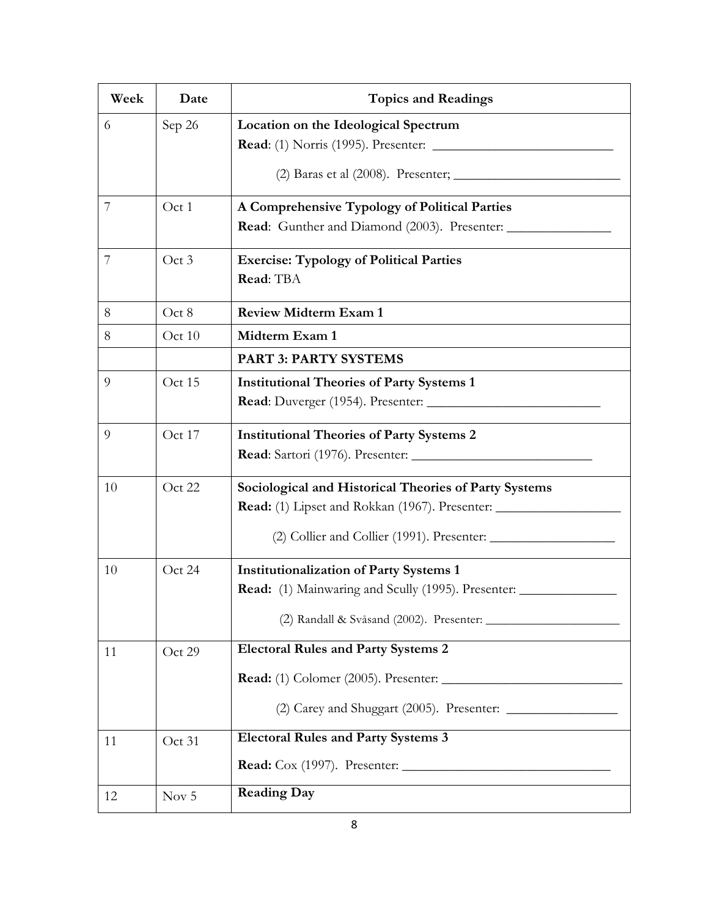| Week | Date   | <b>Topics and Readings</b>                                  |
|------|--------|-------------------------------------------------------------|
| 6    | Sep 26 | Location on the Ideological Spectrum                        |
|      |        |                                                             |
|      |        |                                                             |
| 7    | Oct 1  | A Comprehensive Typology of Political Parties               |
|      |        |                                                             |
| 7    | Oct 3  | <b>Exercise: Typology of Political Parties</b>              |
|      |        | Read: TBA                                                   |
| 8    | Oct 8  | <b>Review Midterm Exam 1</b>                                |
| 8    | Oct 10 | Midterm Exam 1                                              |
|      |        | <b>PART 3: PARTY SYSTEMS</b>                                |
| 9    | Oct 15 | <b>Institutional Theories of Party Systems 1</b>            |
|      |        |                                                             |
| 9    | Oct 17 | <b>Institutional Theories of Party Systems 2</b>            |
|      |        |                                                             |
| 10   | Oct 22 | Sociological and Historical Theories of Party Systems       |
|      |        |                                                             |
|      |        |                                                             |
| 10   | Oct 24 | <b>Institutionalization of Party Systems 1</b>              |
|      |        | Read: (1) Mainwaring and Scully (1995). Presenter: ________ |
|      |        |                                                             |
| 11   | Oct 29 | <b>Electoral Rules and Party Systems 2</b>                  |
|      |        |                                                             |
|      |        |                                                             |
| 11   | Oct 31 | <b>Electoral Rules and Party Systems 3</b>                  |
|      |        |                                                             |
| 12   | Nov 5  | <b>Reading Day</b>                                          |